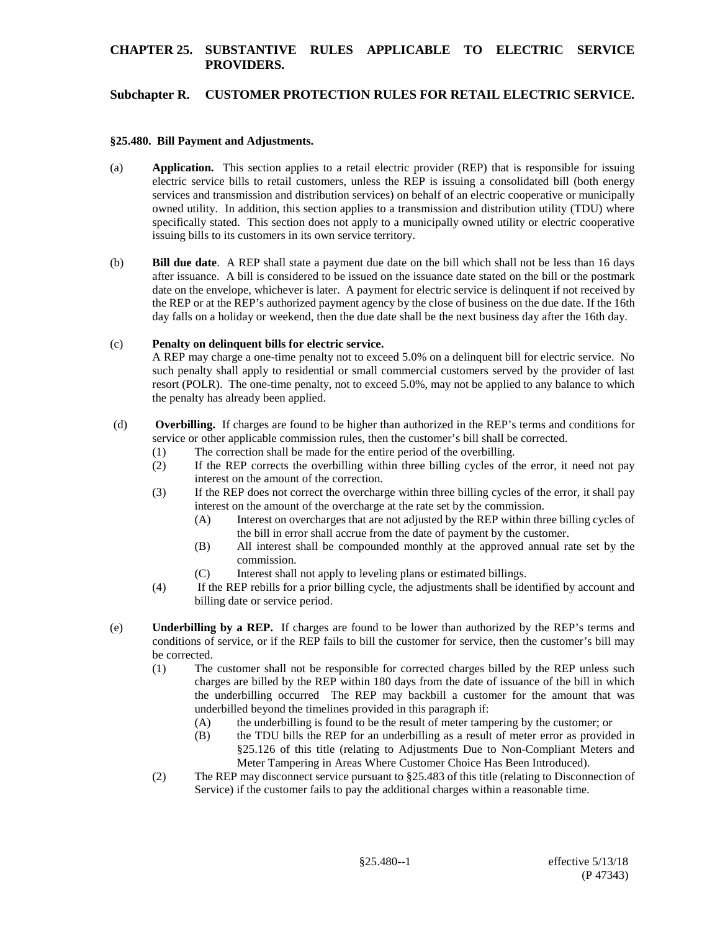# **Subchapter R. CUSTOMER PROTECTION RULES FOR RETAIL ELECTRIC SERVICE.**

### **§25.480. Bill Payment and Adjustments.**

- (a) **Application.** This section applies to a retail electric provider (REP) that is responsible for issuing electric service bills to retail customers, unless the REP is issuing a consolidated bill (both energy services and transmission and distribution services) on behalf of an electric cooperative or municipally owned utility. In addition, this section applies to a transmission and distribution utility (TDU) where specifically stated. This section does not apply to a municipally owned utility or electric cooperative issuing bills to its customers in its own service territory.
- (b) **Bill due date**. A REP shall state a payment due date on the bill which shall not be less than 16 days after issuance. A bill is considered to be issued on the issuance date stated on the bill or the postmark date on the envelope, whichever is later. A payment for electric service is delinquent if not received by the REP or at the REP's authorized payment agency by the close of business on the due date. If the 16th day falls on a holiday or weekend, then the due date shall be the next business day after the 16th day.

### (c) **Penalty on delinquent bills for electric service.**

A REP may charge a one-time penalty not to exceed 5.0% on a delinquent bill for electric service. No such penalty shall apply to residential or small commercial customers served by the provider of last resort (POLR). The one-time penalty, not to exceed 5.0%, may not be applied to any balance to which the penalty has already been applied.

- (d) **Overbilling.** If charges are found to be higher than authorized in the REP's terms and conditions for service or other applicable commission rules, then the customer's bill shall be corrected.
	- (1) The correction shall be made for the entire period of the overbilling.
	- (2) If the REP corrects the overbilling within three billing cycles of the error, it need not pay interest on the amount of the correction.
	- (3) If the REP does not correct the overcharge within three billing cycles of the error, it shall pay interest on the amount of the overcharge at the rate set by the commission.
		- (A) Interest on overcharges that are not adjusted by the REP within three billing cycles of the bill in error shall accrue from the date of payment by the customer.
		- (B) All interest shall be compounded monthly at the approved annual rate set by the commission.
		- (C) Interest shall not apply to leveling plans or estimated billings.
	- (4) If the REP rebills for a prior billing cycle, the adjustments shall be identified by account and billing date or service period.
- (e) **Underbilling by a REP.** If charges are found to be lower than authorized by the REP's terms and conditions of service, or if the REP fails to bill the customer for service, then the customer's bill may be corrected.
	- (1) The customer shall not be responsible for corrected charges billed by the REP unless such charges are billed by the REP within 180 days from the date of issuance of the bill in which the underbilling occurred The REP may backbill a customer for the amount that was underbilled beyond the timelines provided in this paragraph if:
		- (A) the underbilling is found to be the result of meter tampering by the customer; or
		- (B) the TDU bills the REP for an underbilling as a result of meter error as provided in §25.126 of this title (relating to Adjustments Due to Non-Compliant Meters and Meter Tampering in Areas Where Customer Choice Has Been Introduced).
	- (2) The REP may disconnect service pursuant to §25.483 of this title (relating to Disconnection of Service) if the customer fails to pay the additional charges within a reasonable time.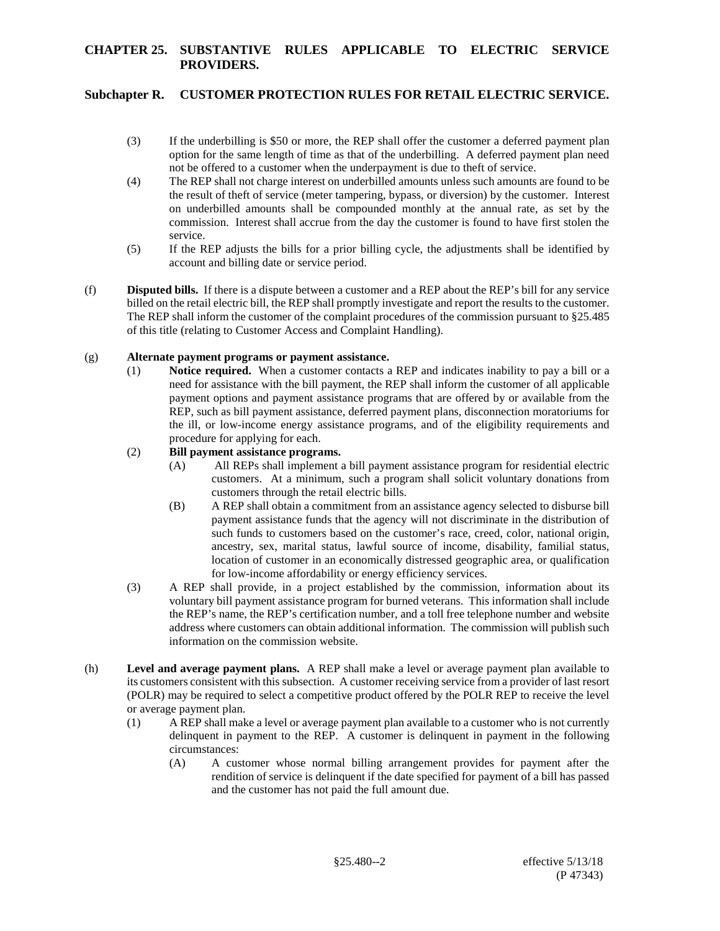# **Subchapter R. CUSTOMER PROTECTION RULES FOR RETAIL ELECTRIC SERVICE.**

- (3) If the underbilling is \$50 or more, the REP shall offer the customer a deferred payment plan option for the same length of time as that of the underbilling. A deferred payment plan need not be offered to a customer when the underpayment is due to theft of service.
- (4) The REP shall not charge interest on underbilled amounts unless such amounts are found to be the result of theft of service (meter tampering, bypass, or diversion) by the customer. Interest on underbilled amounts shall be compounded monthly at the annual rate, as set by the commission. Interest shall accrue from the day the customer is found to have first stolen the service.
- (5) If the REP adjusts the bills for a prior billing cycle, the adjustments shall be identified by account and billing date or service period.
- (f) **Disputed bills.** If there is a dispute between a customer and a REP about the REP's bill for any service billed on the retail electric bill, the REP shall promptly investigate and report the results to the customer. The REP shall inform the customer of the complaint procedures of the commission pursuant to §25.485 of this title (relating to Customer Access and Complaint Handling).

## (g) **Alternate payment programs or payment assistance.**

(1) **Notice required.** When a customer contacts a REP and indicates inability to pay a bill or a need for assistance with the bill payment, the REP shall inform the customer of all applicable payment options and payment assistance programs that are offered by or available from the REP, such as bill payment assistance, deferred payment plans, disconnection moratoriums for the ill, or low-income energy assistance programs, and of the eligibility requirements and procedure for applying for each.

## (2) **Bill payment assistance programs.**

- (A) All REPs shall implement a bill payment assistance program for residential electric customers. At a minimum, such a program shall solicit voluntary donations from customers through the retail electric bills.
- (B) A REP shall obtain a commitment from an assistance agency selected to disburse bill payment assistance funds that the agency will not discriminate in the distribution of such funds to customers based on the customer's race, creed, color, national origin, ancestry, sex, marital status, lawful source of income, disability, familial status, location of customer in an economically distressed geographic area, or qualification for low-income affordability or energy efficiency services.
- (3) A REP shall provide, in a project established by the commission, information about its voluntary bill payment assistance program for burned veterans. This information shall include the REP's name, the REP's certification number, and a toll free telephone number and website address where customers can obtain additional information. The commission will publish such information on the commission website.
- (h) **Level and average payment plans.** A REP shall make a level or average payment plan available to its customers consistent with this subsection. A customer receiving service from a provider of last resort (POLR) may be required to select a competitive product offered by the POLR REP to receive the level or average payment plan.
	- (1) A REP shall make a level or average payment plan available to a customer who is not currently delinquent in payment to the REP. A customer is delinquent in payment in the following circumstances:
		- (A) A customer whose normal billing arrangement provides for payment after the rendition of service is delinquent if the date specified for payment of a bill has passed and the customer has not paid the full amount due.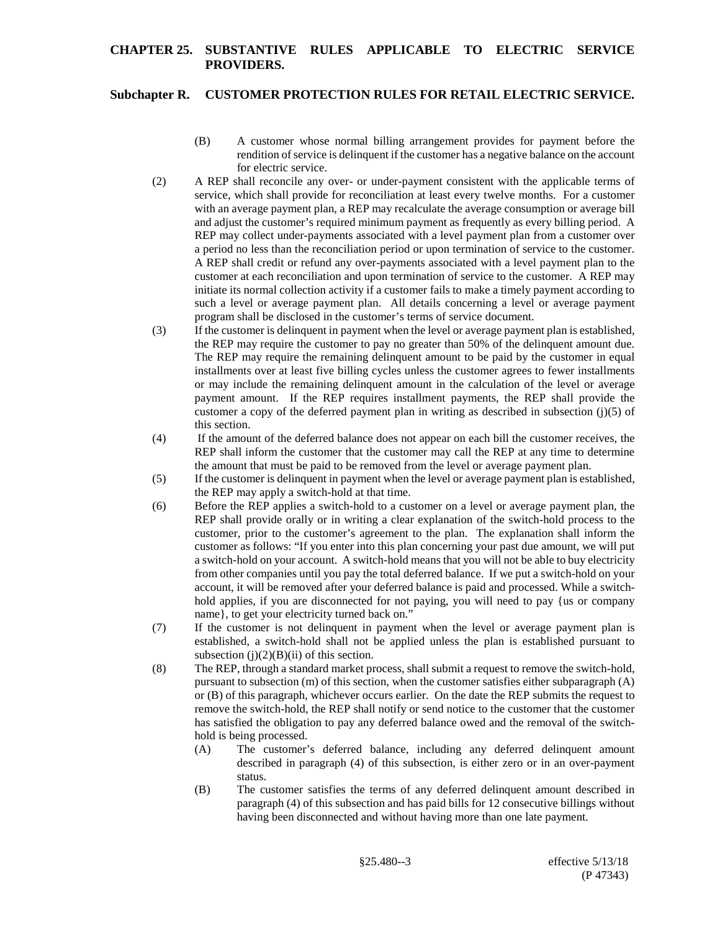## **Subchapter R. CUSTOMER PROTECTION RULES FOR RETAIL ELECTRIC SERVICE.**

- (B) A customer whose normal billing arrangement provides for payment before the rendition of service is delinquent if the customer has a negative balance on the account for electric service.
- (2) A REP shall reconcile any over- or under-payment consistent with the applicable terms of service, which shall provide for reconciliation at least every twelve months. For a customer with an average payment plan, a REP may recalculate the average consumption or average bill and adjust the customer's required minimum payment as frequently as every billing period. A REP may collect under-payments associated with a level payment plan from a customer over a period no less than the reconciliation period or upon termination of service to the customer. A REP shall credit or refund any over-payments associated with a level payment plan to the customer at each reconciliation and upon termination of service to the customer. A REP may initiate its normal collection activity if a customer fails to make a timely payment according to such a level or average payment plan. All details concerning a level or average payment program shall be disclosed in the customer's terms of service document.
- (3) If the customer is delinquent in payment when the level or average payment plan is established, the REP may require the customer to pay no greater than 50% of the delinquent amount due. The REP may require the remaining delinquent amount to be paid by the customer in equal installments over at least five billing cycles unless the customer agrees to fewer installments or may include the remaining delinquent amount in the calculation of the level or average payment amount. If the REP requires installment payments, the REP shall provide the customer a copy of the deferred payment plan in writing as described in subsection  $(j)(5)$  of this section.
- (4) If the amount of the deferred balance does not appear on each bill the customer receives, the REP shall inform the customer that the customer may call the REP at any time to determine the amount that must be paid to be removed from the level or average payment plan.
- (5) If the customer is delinquent in payment when the level or average payment plan is established, the REP may apply a switch-hold at that time.
- (6) Before the REP applies a switch-hold to a customer on a level or average payment plan, the REP shall provide orally or in writing a clear explanation of the switch-hold process to the customer, prior to the customer's agreement to the plan. The explanation shall inform the customer as follows: "If you enter into this plan concerning your past due amount, we will put a switch-hold on your account. A switch-hold means that you will not be able to buy electricity from other companies until you pay the total deferred balance. If we put a switch-hold on your account, it will be removed after your deferred balance is paid and processed. While a switchhold applies, if you are disconnected for not paying, you will need to pay {us or company name}, to get your electricity turned back on."
- (7) If the customer is not delinquent in payment when the level or average payment plan is established, a switch-hold shall not be applied unless the plan is established pursuant to subsection  $(i)(2)(B)(ii)$  of this section.
- (8) The REP, through a standard market process, shall submit a request to remove the switch-hold, pursuant to subsection (m) of this section, when the customer satisfies either subparagraph (A) or (B) of this paragraph, whichever occurs earlier. On the date the REP submits the request to remove the switch-hold, the REP shall notify or send notice to the customer that the customer has satisfied the obligation to pay any deferred balance owed and the removal of the switchhold is being processed.
	- (A) The customer's deferred balance, including any deferred delinquent amount described in paragraph (4) of this subsection, is either zero or in an over-payment status.
	- (B) The customer satisfies the terms of any deferred delinquent amount described in paragraph (4) of this subsection and has paid bills for 12 consecutive billings without having been disconnected and without having more than one late payment.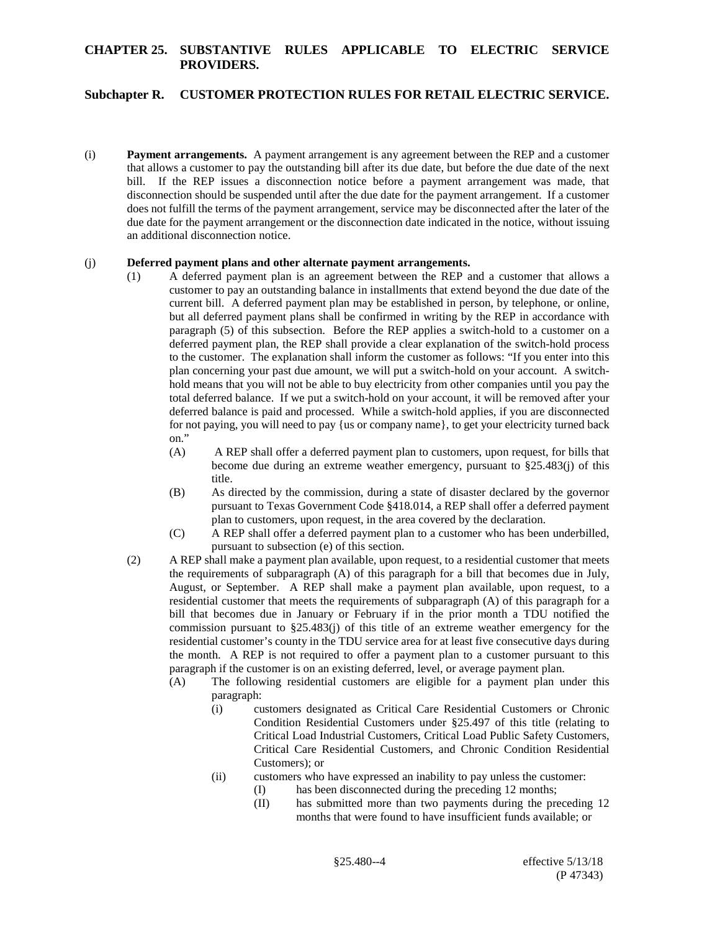## **Subchapter R. CUSTOMER PROTECTION RULES FOR RETAIL ELECTRIC SERVICE.**

(i) **Payment arrangements.** A payment arrangement is any agreement between the REP and a customer that allows a customer to pay the outstanding bill after its due date, but before the due date of the next bill. If the REP issues a disconnection notice before a payment arrangement was made, that disconnection should be suspended until after the due date for the payment arrangement. If a customer does not fulfill the terms of the payment arrangement, service may be disconnected after the later of the due date for the payment arrangement or the disconnection date indicated in the notice, without issuing an additional disconnection notice.

#### (j) **Deferred payment plans and other alternate payment arrangements.**

- (1) A deferred payment plan is an agreement between the REP and a customer that allows a customer to pay an outstanding balance in installments that extend beyond the due date of the current bill. A deferred payment plan may be established in person, by telephone, or online, but all deferred payment plans shall be confirmed in writing by the REP in accordance with paragraph (5) of this subsection. Before the REP applies a switch-hold to a customer on a deferred payment plan, the REP shall provide a clear explanation of the switch-hold process to the customer. The explanation shall inform the customer as follows: "If you enter into this plan concerning your past due amount, we will put a switch-hold on your account. A switchhold means that you will not be able to buy electricity from other companies until you pay the total deferred balance. If we put a switch-hold on your account, it will be removed after your deferred balance is paid and processed. While a switch-hold applies, if you are disconnected for not paying, you will need to pay {us or company name}, to get your electricity turned back on."
	- (A) A REP shall offer a deferred payment plan to customers, upon request, for bills that become due during an extreme weather emergency, pursuant to §25.483(j) of this title.
	- (B) As directed by the commission, during a state of disaster declared by the governor pursuant to Texas Government Code §418.014, a REP shall offer a deferred payment plan to customers, upon request, in the area covered by the declaration.
	- (C) A REP shall offer a deferred payment plan to a customer who has been underbilled, pursuant to subsection (e) of this section.
- (2) A REP shall make a payment plan available, upon request, to a residential customer that meets the requirements of subparagraph (A) of this paragraph for a bill that becomes due in July, August, or September. A REP shall make a payment plan available, upon request, to a residential customer that meets the requirements of subparagraph (A) of this paragraph for a bill that becomes due in January or February if in the prior month a TDU notified the commission pursuant to §25.483(j) of this title of an extreme weather emergency for the residential customer's county in the TDU service area for at least five consecutive days during the month. A REP is not required to offer a payment plan to a customer pursuant to this paragraph if the customer is on an existing deferred, level, or average payment plan.
	- (A) The following residential customers are eligible for a payment plan under this paragraph:
		- (i) customers designated as Critical Care Residential Customers or Chronic Condition Residential Customers under §25.497 of this title (relating to Critical Load Industrial Customers, Critical Load Public Safety Customers, Critical Care Residential Customers, and Chronic Condition Residential Customers); or
		- (ii) customers who have expressed an inability to pay unless the customer: (I) has been disconnected during the preceding 12 months;
			- (II) has submitted more than two payments during the preceding 12
				- months that were found to have insufficient funds available; or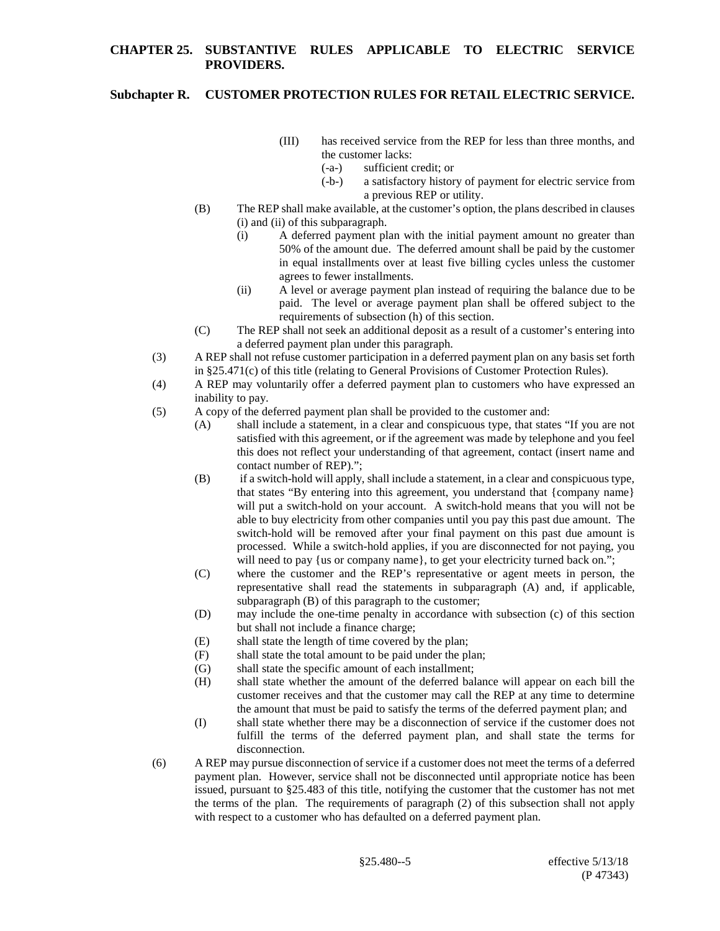## **Subchapter R. CUSTOMER PROTECTION RULES FOR RETAIL ELECTRIC SERVICE.**

- (III) has received service from the REP for less than three months, and the customer lacks:
	- (-a-) sufficient credit; or
	- (-b-) a satisfactory history of payment for electric service from a previous REP or utility.
- (B) The REP shall make available, at the customer's option, the plans described in clauses (i) and (ii) of this subparagraph.
	- (i) A deferred payment plan with the initial payment amount no greater than 50% of the amount due. The deferred amount shall be paid by the customer in equal installments over at least five billing cycles unless the customer agrees to fewer installments.
	- (ii) A level or average payment plan instead of requiring the balance due to be paid. The level or average payment plan shall be offered subject to the requirements of subsection (h) of this section.
- (C) The REP shall not seek an additional deposit as a result of a customer's entering into a deferred payment plan under this paragraph.
- (3) A REP shall not refuse customer participation in a deferred payment plan on any basis set forth in §25.471(c) of this title (relating to General Provisions of Customer Protection Rules).
- (4) A REP may voluntarily offer a deferred payment plan to customers who have expressed an inability to pay.
- (5) A copy of the deferred payment plan shall be provided to the customer and:
	- (A) shall include a statement, in a clear and conspicuous type, that states "If you are not satisfied with this agreement, or if the agreement was made by telephone and you feel this does not reflect your understanding of that agreement, contact (insert name and contact number of REP).";
	- (B) if a switch-hold will apply, shall include a statement, in a clear and conspicuous type, that states "By entering into this agreement, you understand that {company name} will put a switch-hold on your account. A switch-hold means that you will not be able to buy electricity from other companies until you pay this past due amount. The switch-hold will be removed after your final payment on this past due amount is processed. While a switch-hold applies, if you are disconnected for not paying, you will need to pay {us or company name}, to get your electricity turned back on.";
	- (C) where the customer and the REP's representative or agent meets in person, the representative shall read the statements in subparagraph (A) and, if applicable, subparagraph (B) of this paragraph to the customer;
	- (D) may include the one-time penalty in accordance with subsection (c) of this section but shall not include a finance charge;
	- (E) shall state the length of time covered by the plan;
	- (F) shall state the total amount to be paid under the plan;
	- (G) shall state the specific amount of each installment;
	- (H) shall state whether the amount of the deferred balance will appear on each bill the customer receives and that the customer may call the REP at any time to determine the amount that must be paid to satisfy the terms of the deferred payment plan; and
	- (I) shall state whether there may be a disconnection of service if the customer does not fulfill the terms of the deferred payment plan, and shall state the terms for disconnection.
- (6) A REP may pursue disconnection of service if a customer does not meet the terms of a deferred payment plan. However, service shall not be disconnected until appropriate notice has been issued, pursuant to §25.483 of this title, notifying the customer that the customer has not met the terms of the plan. The requirements of paragraph (2) of this subsection shall not apply with respect to a customer who has defaulted on a deferred payment plan.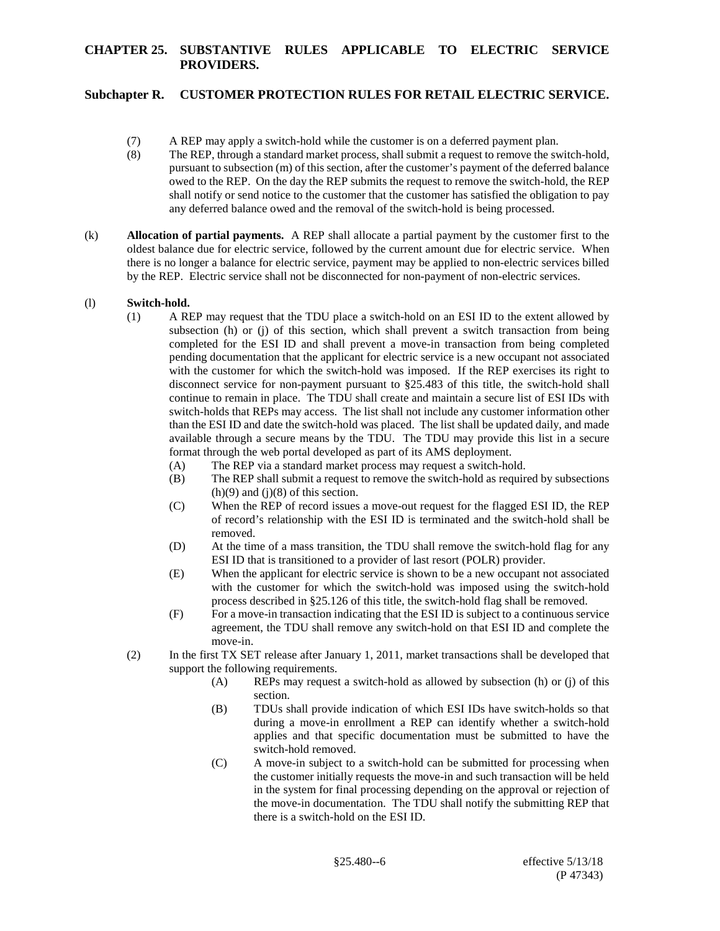# **Subchapter R. CUSTOMER PROTECTION RULES FOR RETAIL ELECTRIC SERVICE.**

- (7) A REP may apply a switch-hold while the customer is on a deferred payment plan.
- (8) The REP, through a standard market process, shall submit a request to remove the switch-hold, pursuant to subsection (m) of this section, after the customer's payment of the deferred balance owed to the REP. On the day the REP submits the request to remove the switch-hold, the REP shall notify or send notice to the customer that the customer has satisfied the obligation to pay any deferred balance owed and the removal of the switch-hold is being processed.
- (k) **Allocation of partial payments.** A REP shall allocate a partial payment by the customer first to the oldest balance due for electric service, followed by the current amount due for electric service. When there is no longer a balance for electric service, payment may be applied to non-electric services billed by the REP. Electric service shall not be disconnected for non-payment of non-electric services.

### (l) **Switch-hold.**

- (1) A REP may request that the TDU place a switch-hold on an ESI ID to the extent allowed by subsection (h) or (j) of this section, which shall prevent a switch transaction from being completed for the ESI ID and shall prevent a move-in transaction from being completed pending documentation that the applicant for electric service is a new occupant not associated with the customer for which the switch-hold was imposed. If the REP exercises its right to disconnect service for non-payment pursuant to §25.483 of this title, the switch-hold shall continue to remain in place. The TDU shall create and maintain a secure list of ESI IDs with switch-holds that REPs may access. The list shall not include any customer information other than the ESI ID and date the switch-hold was placed. The list shall be updated daily, and made available through a secure means by the TDU. The TDU may provide this list in a secure format through the web portal developed as part of its AMS deployment.
	- (A) The REP via a standard market process may request a switch-hold.
	- (B) The REP shall submit a request to remove the switch-hold as required by subsections  $(h)(9)$  and  $(i)(8)$  of this section.
	- (C) When the REP of record issues a move-out request for the flagged ESI ID, the REP of record's relationship with the ESI ID is terminated and the switch-hold shall be removed.
	- (D) At the time of a mass transition, the TDU shall remove the switch-hold flag for any ESI ID that is transitioned to a provider of last resort (POLR) provider.
	- (E) When the applicant for electric service is shown to be a new occupant not associated with the customer for which the switch-hold was imposed using the switch-hold process described in §25.126 of this title, the switch-hold flag shall be removed.
	- (F) For a move-in transaction indicating that the ESI ID is subject to a continuous service agreement, the TDU shall remove any switch-hold on that ESI ID and complete the move-in.
- (2) In the first TX SET release after January 1, 2011, market transactions shall be developed that support the following requirements.
	- (A) REPs may request a switch-hold as allowed by subsection (h) or (j) of this section.
	- (B) TDUs shall provide indication of which ESI IDs have switch-holds so that during a move-in enrollment a REP can identify whether a switch-hold applies and that specific documentation must be submitted to have the switch-hold removed.
	- (C) A move-in subject to a switch-hold can be submitted for processing when the customer initially requests the move-in and such transaction will be held in the system for final processing depending on the approval or rejection of the move-in documentation. The TDU shall notify the submitting REP that there is a switch-hold on the ESI ID.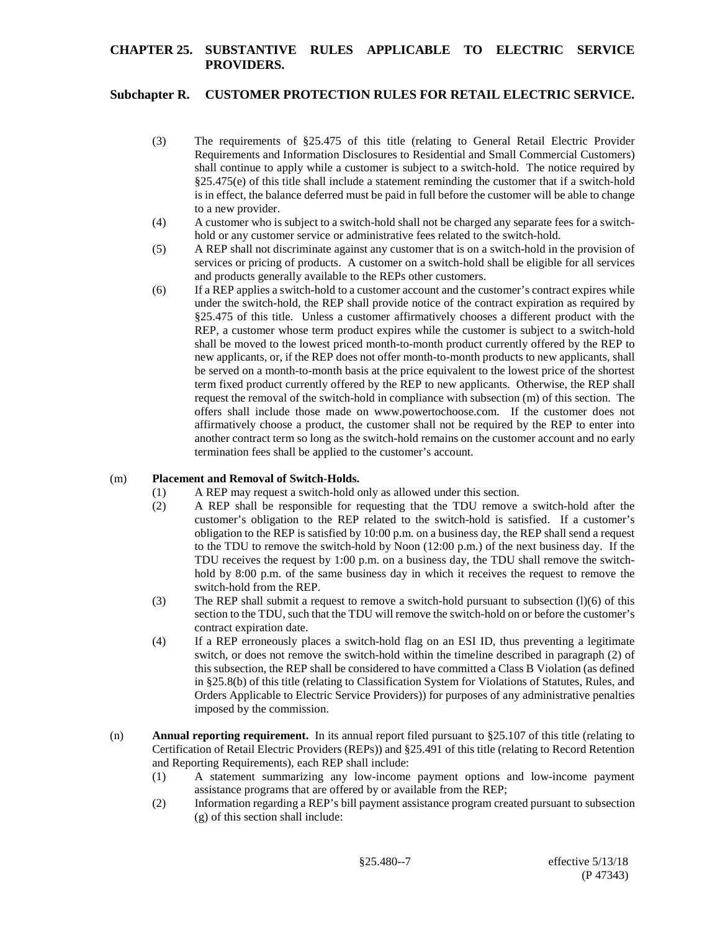# **Subchapter R. CUSTOMER PROTECTION RULES FOR RETAIL ELECTRIC SERVICE.**

- (3) The requirements of §25.475 of this title (relating to General Retail Electric Provider Requirements and Information Disclosures to Residential and Small Commercial Customers) shall continue to apply while a customer is subject to a switch-hold. The notice required by  $§25.475(e)$  of this title shall include a statement reminding the customer that if a switch-hold is in effect, the balance deferred must be paid in full before the customer will be able to change to a new provider.
- (4) A customer who is subject to a switch-hold shall not be charged any separate fees for a switchhold or any customer service or administrative fees related to the switch-hold.
- (5) A REP shall not discriminate against any customer that is on a switch-hold in the provision of services or pricing of products. A customer on a switch-hold shall be eligible for all services and products generally available to the REPs other customers.
- (6) If a REP applies a switch-hold to a customer account and the customer's contract expires while under the switch-hold, the REP shall provide notice of the contract expiration as required by §25.475 of this title. Unless a customer affirmatively chooses a different product with the REP, a customer whose term product expires while the customer is subject to a switch-hold shall be moved to the lowest priced month-to-month product currently offered by the REP to new applicants, or, if the REP does not offer month-to-month products to new applicants, shall be served on a month-to-month basis at the price equivalent to the lowest price of the shortest term fixed product currently offered by the REP to new applicants. Otherwise, the REP shall request the removal of the switch-hold in compliance with subsection (m) of this section. The offers shall include those made on www.powertochoose.com. If the customer does not affirmatively choose a product, the customer shall not be required by the REP to enter into another contract term so long as the switch-hold remains on the customer account and no early termination fees shall be applied to the customer's account.

### (m) **Placement and Removal of Switch-Holds.**

- (1) A REP may request a switch-hold only as allowed under this section.
- (2) A REP shall be responsible for requesting that the TDU remove a switch-hold after the customer's obligation to the REP related to the switch-hold is satisfied. If a customer's obligation to the REP is satisfied by 10:00 p.m. on a business day, the REP shall send a request to the TDU to remove the switch-hold by Noon (12:00 p.m.) of the next business day. If the TDU receives the request by 1:00 p.m. on a business day, the TDU shall remove the switchhold by 8:00 p.m. of the same business day in which it receives the request to remove the switch-hold from the REP.
- (3) The REP shall submit a request to remove a switch-hold pursuant to subsection (l)(6) of this section to the TDU, such that the TDU will remove the switch-hold on or before the customer's contract expiration date.
- (4) If a REP erroneously places a switch-hold flag on an ESI ID, thus preventing a legitimate switch, or does not remove the switch-hold within the timeline described in paragraph (2) of this subsection, the REP shall be considered to have committed a Class B Violation (as defined in §25.8(b) of this title (relating to Classification System for Violations of Statutes, Rules, and Orders Applicable to Electric Service Providers)) for purposes of any administrative penalties imposed by the commission.
- (n) **Annual reporting requirement.** In its annual report filed pursuant to §25.107 of this title (relating to Certification of Retail Electric Providers (REPs)) and §25.491 of this title (relating to Record Retention and Reporting Requirements), each REP shall include:
	- (1) A statement summarizing any low-income payment options and low-income payment assistance programs that are offered by or available from the REP;
	- (2) Information regarding a REP's bill payment assistance program created pursuant to subsection (g) of this section shall include: